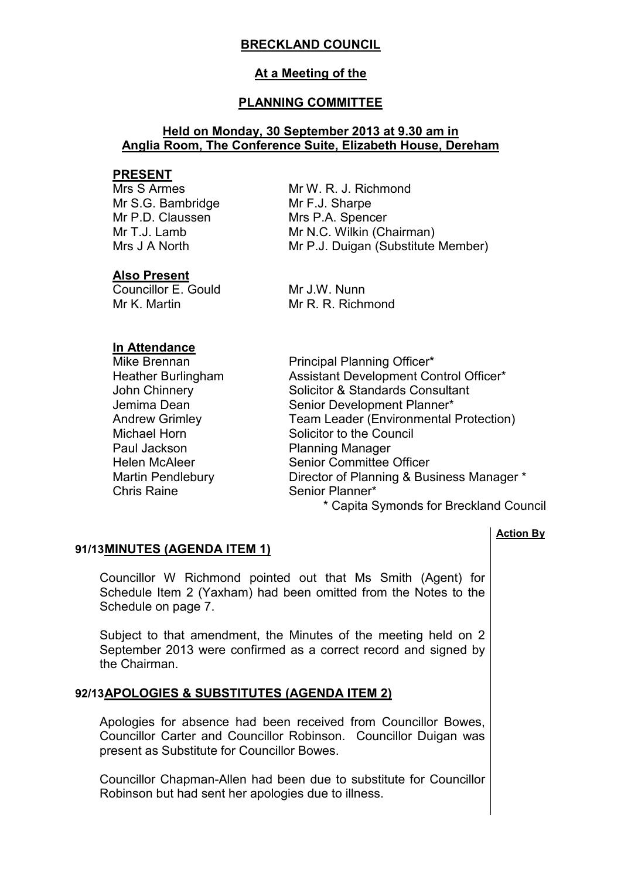# **BRECKLAND COUNCIL**

# **At a Meeting of the**

# **PLANNING COMMITTEE**

# **Held on Monday, 30 September 2013 at 9.30 am in Anglia Room, The Conference Suite, Elizabeth House, Dereham**

## **PRESENT**

Mrs S Armes Mr S.G. Bambridge Mr P.D. Claussen Mr  $T \cdot J$  Lamb Mrs J A North

**Also Present** 

Councillor E. Gould Mr K. Martin

Mr W. R. J. Richmond Mr F.J. Sharpe Mrs P.A. Spencer Mr N.C. Wilkin (Chairman) Mr P.J. Duigan (Substitute Member)

Mr J.W. Nunn Mr R. R. Richmond

# **In Attendance**

Paul Jackson Planning Manager Chris Raine Senior Planner\*

Mike Brennan **Principal Planning Officer**\* Heather Burlingham Assistant Development Control Officer\* John Chinnery **Solicitor & Standards Consultant** Jemima Dean Senior Development Planner\*<br>Andrew Grimlev Team Leader (Environmental Team Leader (Environmental Protection) Michael Horn Solicitor to the Council Helen McAleer Senior Committee Officer Martin Pendlebury Director of Planning & Business Manager \*

\* Capita Symonds for Breckland Council

## **Action By**

# **91/13 MINUTES (AGENDA ITEM 1)**

 Councillor W Richmond pointed out that Ms Smith (Agent) for Schedule Item 2 (Yaxham) had been omitted from the Notes to the Schedule on page 7.

Subject to that amendment, the Minutes of the meeting held on 2 September 2013 were confirmed as a correct record and signed by the Chairman.

# **92/13 APOLOGIES & SUBSTITUTES (AGENDA ITEM 2)**

 Apologies for absence had been received from Councillor Bowes, Councillor Carter and Councillor Robinson. Councillor Duigan was present as Substitute for Councillor Bowes.

Councillor Chapman-Allen had been due to substitute for Councillor Robinson but had sent her apologies due to illness.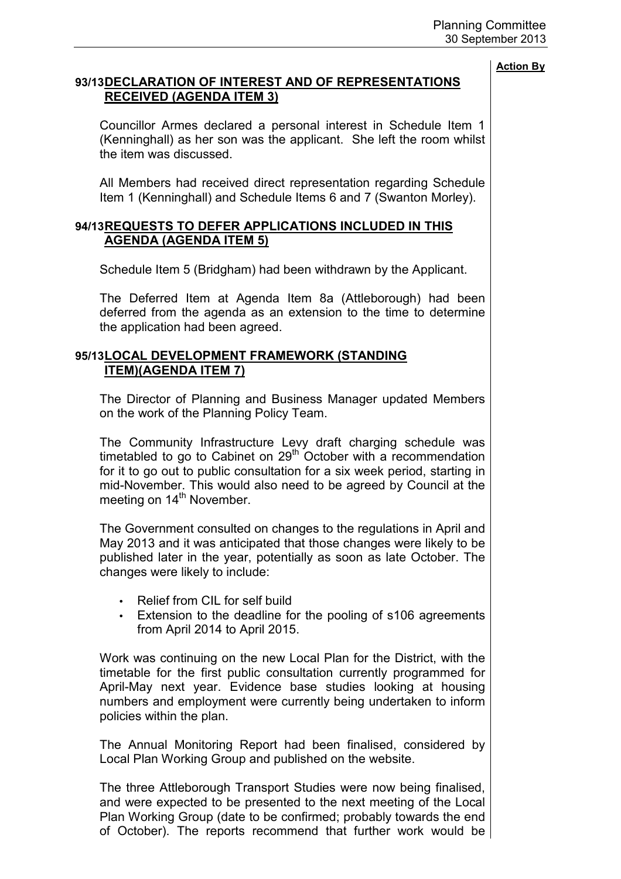# **93/13 DECLARATION OF INTEREST AND OF REPRESENTATIONS RECEIVED (AGENDA ITEM 3)**

 Councillor Armes declared a personal interest in Schedule Item 1 (Kenninghall) as her son was the applicant. She left the room whilst the item was discussed.

All Members had received direct representation regarding Schedule Item 1 (Kenninghall) and Schedule Items 6 and 7 (Swanton Morley).

# **94/13 REQUESTS TO DEFER APPLICATIONS INCLUDED IN THIS AGENDA (AGENDA ITEM 5)**

Schedule Item 5 (Bridgham) had been withdrawn by the Applicant.

The Deferred Item at Agenda Item 8a (Attleborough) had been deferred from the agenda as an extension to the time to determine the application had been agreed.

# **95/13 LOCAL DEVELOPMENT FRAMEWORK (STANDING ITEM)(AGENDA ITEM 7)**

 The Director of Planning and Business Manager updated Members on the work of the Planning Policy Team.

The Community Infrastructure Levy draft charging schedule was timetabled to go to Cabinet on  $29<sup>th</sup>$  October with a recommendation for it to go out to public consultation for a six week period, starting in mid-November. This would also need to be agreed by Council at the meeting on 14<sup>th</sup> November.

The Government consulted on changes to the regulations in April and May 2013 and it was anticipated that those changes were likely to be published later in the year, potentially as soon as late October. The changes were likely to include:

- Relief from CIL for self build
- Extension to the deadline for the pooling of s106 agreements from April 2014 to April 2015.

Work was continuing on the new Local Plan for the District, with the timetable for the first public consultation currently programmed for April-May next year. Evidence base studies looking at housing numbers and employment were currently being undertaken to inform policies within the plan.

The Annual Monitoring Report had been finalised, considered by Local Plan Working Group and published on the website.

The three Attleborough Transport Studies were now being finalised, and were expected to be presented to the next meeting of the Local Plan Working Group (date to be confirmed; probably towards the end of October). The reports recommend that further work would be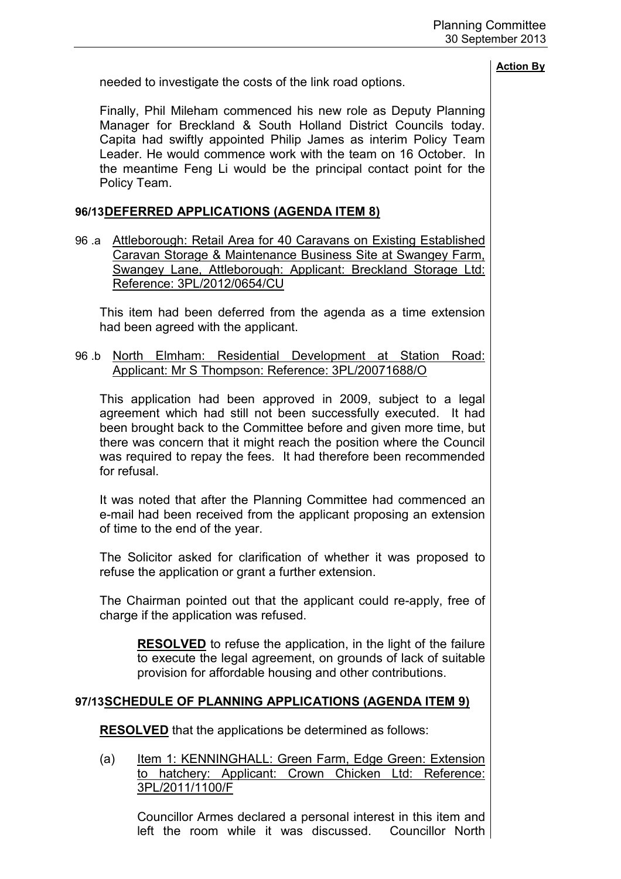needed to investigate the costs of the link road options.

**Action By**

Finally, Phil Mileham commenced his new role as Deputy Planning Manager for Breckland & South Holland District Councils today. Capita had swiftly appointed Philip James as interim Policy Team Leader. He would commence work with the team on 16 October. In the meantime Feng Li would be the principal contact point for the Policy Team.

# **96/13 DEFERRED APPLICATIONS (AGENDA ITEM 8)**

96 .a Attleborough: Retail Area for 40 Caravans on Existing Established Caravan Storage & Maintenance Business Site at Swangey Farm, Swangey Lane, Attleborough: Applicant: Breckland Storage Ltd: Reference: 3PL/2012/0654/CU

 This item had been deferred from the agenda as a time extension had been agreed with the applicant.

96 .b North Elmham: Residential Development at Station Road: Applicant: Mr S Thompson: Reference: 3PL/20071688/O

 This application had been approved in 2009, subject to a legal agreement which had still not been successfully executed. It had been brought back to the Committee before and given more time, but there was concern that it might reach the position where the Council was required to repay the fees. It had therefore been recommended for refusal.

It was noted that after the Planning Committee had commenced an e-mail had been received from the applicant proposing an extension of time to the end of the year.

The Solicitor asked for clarification of whether it was proposed to refuse the application or grant a further extension.

The Chairman pointed out that the applicant could re-apply, free of charge if the application was refused.

**RESOLVED** to refuse the application, in the light of the failure to execute the legal agreement, on grounds of lack of suitable provision for affordable housing and other contributions.

# **97/13 SCHEDULE OF PLANNING APPLICATIONS (AGENDA ITEM 9)**

**RESOLVED** that the applications be determined as follows:

(a) Item 1: KENNINGHALL: Green Farm, Edge Green: Extension to hatchery: Applicant: Crown Chicken Ltd: Reference: 3PL/2011/1100/F

Councillor Armes declared a personal interest in this item and left the room while it was discussed. Councillor North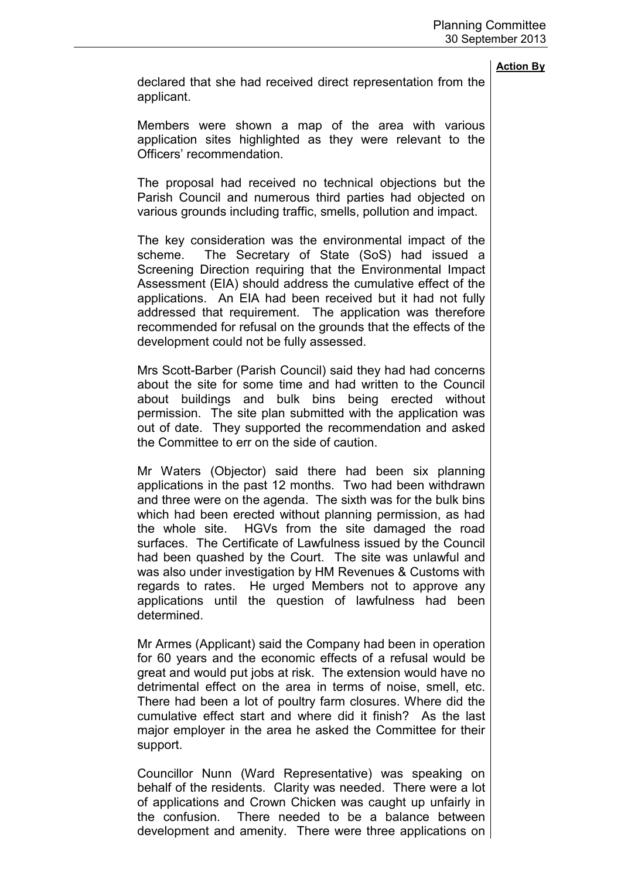declared that she had received direct representation from the applicant.

Members were shown a map of the area with various application sites highlighted as they were relevant to the Officers' recommendation.

The proposal had received no technical objections but the Parish Council and numerous third parties had objected on various grounds including traffic, smells, pollution and impact.

The key consideration was the environmental impact of the scheme. The Secretary of State (SoS) had issued a Screening Direction requiring that the Environmental Impact Assessment (EIA) should address the cumulative effect of the applications. An EIA had been received but it had not fully addressed that requirement. The application was therefore recommended for refusal on the grounds that the effects of the development could not be fully assessed.

Mrs Scott-Barber (Parish Council) said they had had concerns about the site for some time and had written to the Council about buildings and bulk bins being erected without permission. The site plan submitted with the application was out of date. They supported the recommendation and asked the Committee to err on the side of caution.

Mr Waters (Objector) said there had been six planning applications in the past 12 months. Two had been withdrawn and three were on the agenda. The sixth was for the bulk bins which had been erected without planning permission, as had the whole site. HGVs from the site damaged the road surfaces. The Certificate of Lawfulness issued by the Council had been quashed by the Court. The site was unlawful and was also under investigation by HM Revenues & Customs with regards to rates. He urged Members not to approve any applications until the question of lawfulness had been determined.

Mr Armes (Applicant) said the Company had been in operation for 60 years and the economic effects of a refusal would be great and would put jobs at risk. The extension would have no detrimental effect on the area in terms of noise, smell, etc. There had been a lot of poultry farm closures. Where did the cumulative effect start and where did it finish? As the last major employer in the area he asked the Committee for their support.

Councillor Nunn (Ward Representative) was speaking on behalf of the residents. Clarity was needed. There were a lot of applications and Crown Chicken was caught up unfairly in the confusion. There needed to be a balance between development and amenity. There were three applications on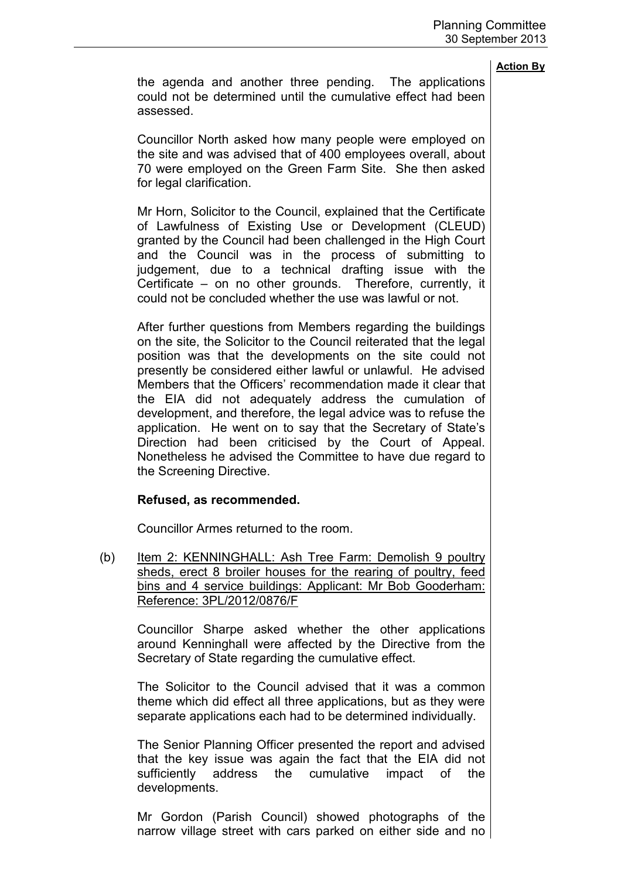the agenda and another three pending. The applications could not be determined until the cumulative effect had been assessed.

Councillor North asked how many people were employed on the site and was advised that of 400 employees overall, about 70 were employed on the Green Farm Site. She then asked for legal clarification.

Mr Horn, Solicitor to the Council, explained that the Certificate of Lawfulness of Existing Use or Development (CLEUD) granted by the Council had been challenged in the High Court and the Council was in the process of submitting to judgement, due to a technical drafting issue with the Certificate – on no other grounds. Therefore, currently, it could not be concluded whether the use was lawful or not.

After further questions from Members regarding the buildings on the site, the Solicitor to the Council reiterated that the legal position was that the developments on the site could not presently be considered either lawful or unlawful. He advised Members that the Officers' recommendation made it clear that the EIA did not adequately address the cumulation of development, and therefore, the legal advice was to refuse the application. He went on to say that the Secretary of State's Direction had been criticised by the Court of Appeal. Nonetheless he advised the Committee to have due regard to the Screening Directive.

## **Refused, as recommended.**

Councillor Armes returned to the room.

(b) Item 2: KENNINGHALL: Ash Tree Farm: Demolish 9 poultry sheds, erect 8 broiler houses for the rearing of poultry, feed bins and 4 service buildings: Applicant: Mr Bob Gooderham: Reference: 3PL/2012/0876/F

Councillor Sharpe asked whether the other applications around Kenninghall were affected by the Directive from the Secretary of State regarding the cumulative effect.

The Solicitor to the Council advised that it was a common theme which did effect all three applications, but as they were separate applications each had to be determined individually.

The Senior Planning Officer presented the report and advised that the key issue was again the fact that the EIA did not sufficiently address the cumulative impact of the developments.

Mr Gordon (Parish Council) showed photographs of the narrow village street with cars parked on either side and no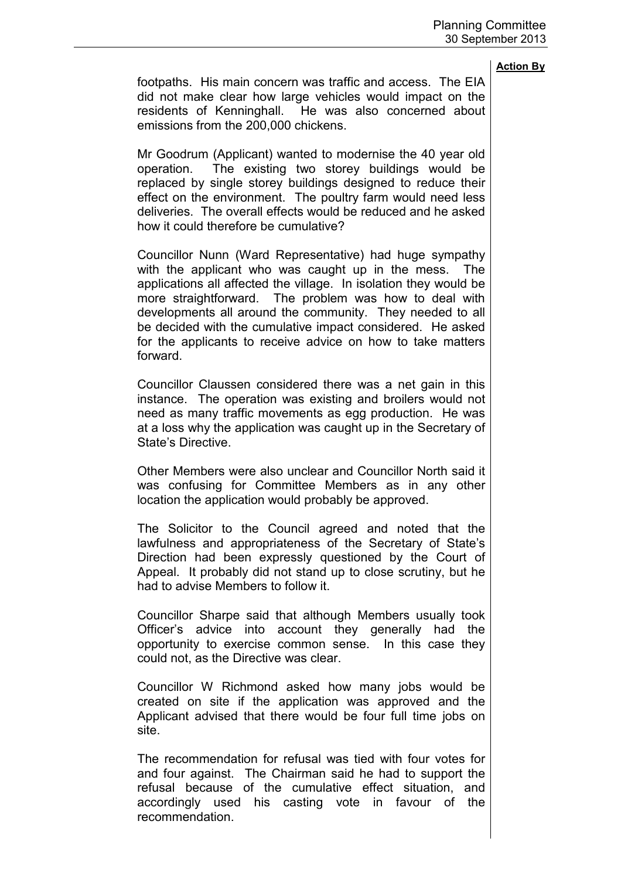footpaths. His main concern was traffic and access. The EIA did not make clear how large vehicles would impact on the residents of Kenninghall. He was also concerned about emissions from the 200,000 chickens.

Mr Goodrum (Applicant) wanted to modernise the 40 year old operation. The existing two storey buildings would be replaced by single storey buildings designed to reduce their effect on the environment. The poultry farm would need less deliveries. The overall effects would be reduced and he asked how it could therefore be cumulative?

Councillor Nunn (Ward Representative) had huge sympathy with the applicant who was caught up in the mess. The applications all affected the village. In isolation they would be more straightforward. The problem was how to deal with developments all around the community. They needed to all be decided with the cumulative impact considered. He asked for the applicants to receive advice on how to take matters forward.

Councillor Claussen considered there was a net gain in this instance. The operation was existing and broilers would not need as many traffic movements as egg production. He was at a loss why the application was caught up in the Secretary of State's Directive.

Other Members were also unclear and Councillor North said it was confusing for Committee Members as in any other location the application would probably be approved.

The Solicitor to the Council agreed and noted that the lawfulness and appropriateness of the Secretary of State's Direction had been expressly questioned by the Court of Appeal. It probably did not stand up to close scrutiny, but he had to advise Members to follow it.

Councillor Sharpe said that although Members usually took Officer's advice into account they generally had the opportunity to exercise common sense. In this case they could not, as the Directive was clear.

Councillor W Richmond asked how many jobs would be created on site if the application was approved and the Applicant advised that there would be four full time jobs on site.

The recommendation for refusal was tied with four votes for and four against. The Chairman said he had to support the refusal because of the cumulative effect situation, and accordingly used his casting vote in favour of the recommendation.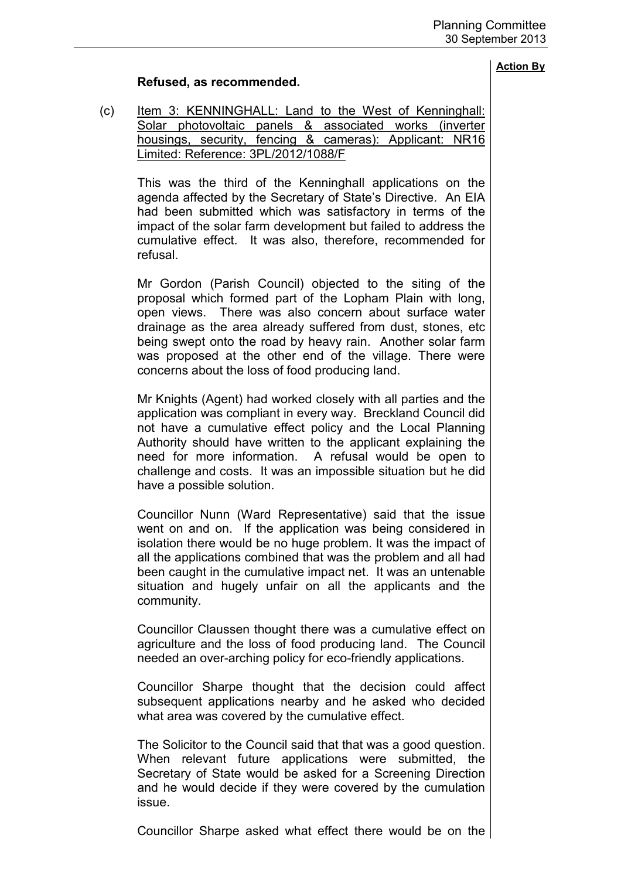# **Refused, as recommended.**

(c) Item 3: KENNINGHALL: Land to the West of Kenninghall: Solar photovoltaic panels & associated works (inverter housings, security, fencing & cameras): Applicant: NR16 Limited: Reference: 3PL/2012/1088/F

This was the third of the Kenninghall applications on the agenda affected by the Secretary of State's Directive. An EIA had been submitted which was satisfactory in terms of the impact of the solar farm development but failed to address the cumulative effect. It was also, therefore, recommended for refusal.

Mr Gordon (Parish Council) objected to the siting of the proposal which formed part of the Lopham Plain with long, open views. There was also concern about surface water drainage as the area already suffered from dust, stones, etc being swept onto the road by heavy rain. Another solar farm was proposed at the other end of the village. There were concerns about the loss of food producing land.

Mr Knights (Agent) had worked closely with all parties and the application was compliant in every way. Breckland Council did not have a cumulative effect policy and the Local Planning Authority should have written to the applicant explaining the need for more information. A refusal would be open to challenge and costs. It was an impossible situation but he did have a possible solution.

Councillor Nunn (Ward Representative) said that the issue went on and on. If the application was being considered in isolation there would be no huge problem. It was the impact of all the applications combined that was the problem and all had been caught in the cumulative impact net. It was an untenable situation and hugely unfair on all the applicants and the community.

Councillor Claussen thought there was a cumulative effect on agriculture and the loss of food producing land. The Council needed an over-arching policy for eco-friendly applications.

Councillor Sharpe thought that the decision could affect subsequent applications nearby and he asked who decided what area was covered by the cumulative effect.

The Solicitor to the Council said that that was a good question. When relevant future applications were submitted, the Secretary of State would be asked for a Screening Direction and he would decide if they were covered by the cumulation issue.

Councillor Sharpe asked what effect there would be on the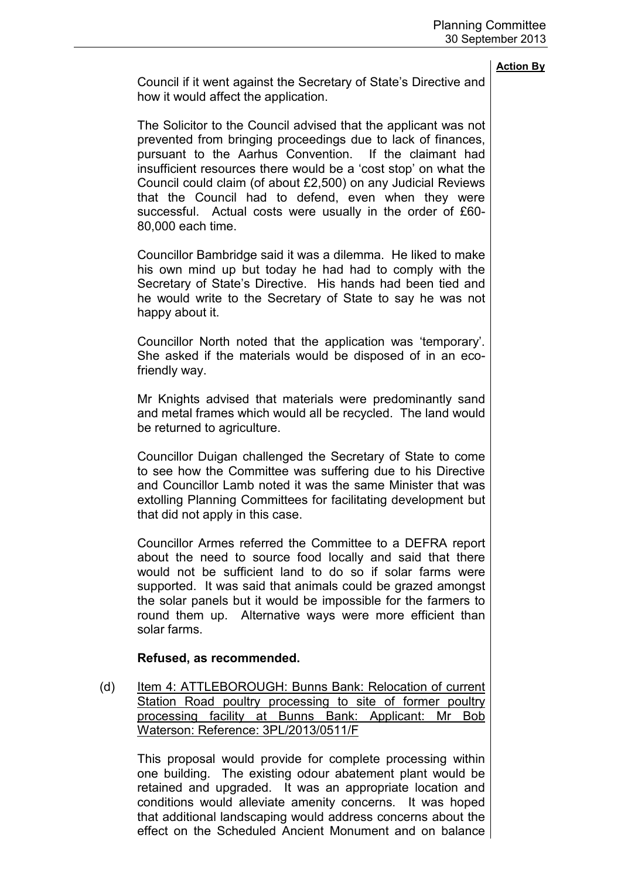Council if it went against the Secretary of State's Directive and how it would affect the application.

The Solicitor to the Council advised that the applicant was not prevented from bringing proceedings due to lack of finances, pursuant to the Aarhus Convention. If the claimant had insufficient resources there would be a 'cost stop' on what the Council could claim (of about £2,500) on any Judicial Reviews that the Council had to defend, even when they were successful. Actual costs were usually in the order of £60- 80,000 each time.

Councillor Bambridge said it was a dilemma. He liked to make his own mind up but today he had had to comply with the Secretary of State's Directive. His hands had been tied and he would write to the Secretary of State to say he was not happy about it.

Councillor North noted that the application was 'temporary'. She asked if the materials would be disposed of in an ecofriendly way.

Mr Knights advised that materials were predominantly sand and metal frames which would all be recycled. The land would be returned to agriculture.

Councillor Duigan challenged the Secretary of State to come to see how the Committee was suffering due to his Directive and Councillor Lamb noted it was the same Minister that was extolling Planning Committees for facilitating development but that did not apply in this case.

Councillor Armes referred the Committee to a DEFRA report about the need to source food locally and said that there would not be sufficient land to do so if solar farms were supported. It was said that animals could be grazed amongst the solar panels but it would be impossible for the farmers to round them up. Alternative ways were more efficient than solar farms.

## **Refused, as recommended.**

(d) Item 4: ATTLEBOROUGH: Bunns Bank: Relocation of current Station Road poultry processing to site of former poultry processing facility at Bunns Bank: Applicant: Mr Bob Waterson: Reference: 3PL/2013/0511/F

This proposal would provide for complete processing within one building. The existing odour abatement plant would be retained and upgraded. It was an appropriate location and conditions would alleviate amenity concerns. It was hoped that additional landscaping would address concerns about the effect on the Scheduled Ancient Monument and on balance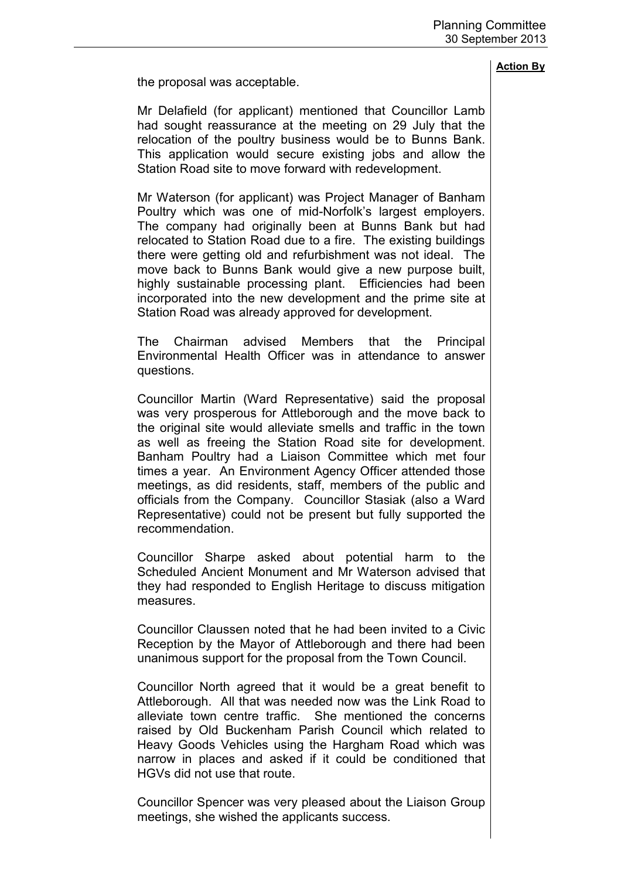the proposal was acceptable.

Mr Delafield (for applicant) mentioned that Councillor Lamb had sought reassurance at the meeting on 29 July that the relocation of the poultry business would be to Bunns Bank. This application would secure existing jobs and allow the Station Road site to move forward with redevelopment.

Mr Waterson (for applicant) was Project Manager of Banham Poultry which was one of mid-Norfolk's largest employers. The company had originally been at Bunns Bank but had relocated to Station Road due to a fire. The existing buildings there were getting old and refurbishment was not ideal. The move back to Bunns Bank would give a new purpose built, highly sustainable processing plant. Efficiencies had been incorporated into the new development and the prime site at Station Road was already approved for development.

The Chairman advised Members that the Principal Environmental Health Officer was in attendance to answer questions.

Councillor Martin (Ward Representative) said the proposal was very prosperous for Attleborough and the move back to the original site would alleviate smells and traffic in the town as well as freeing the Station Road site for development. Banham Poultry had a Liaison Committee which met four times a year. An Environment Agency Officer attended those meetings, as did residents, staff, members of the public and officials from the Company. Councillor Stasiak (also a Ward Representative) could not be present but fully supported the recommendation.

Councillor Sharpe asked about potential harm to the Scheduled Ancient Monument and Mr Waterson advised that they had responded to English Heritage to discuss mitigation measures.

Councillor Claussen noted that he had been invited to a Civic Reception by the Mayor of Attleborough and there had been unanimous support for the proposal from the Town Council.

Councillor North agreed that it would be a great benefit to Attleborough. All that was needed now was the Link Road to alleviate town centre traffic. She mentioned the concerns raised by Old Buckenham Parish Council which related to Heavy Goods Vehicles using the Hargham Road which was narrow in places and asked if it could be conditioned that HGVs did not use that route.

Councillor Spencer was very pleased about the Liaison Group meetings, she wished the applicants success.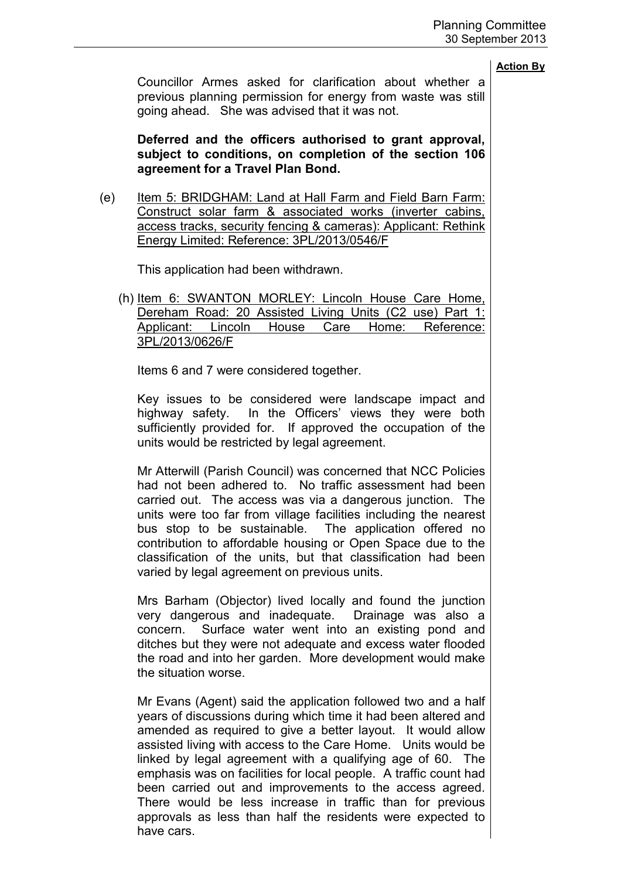Councillor Armes asked for clarification about whether a previous planning permission for energy from waste was still going ahead. She was advised that it was not.

**Deferred and the officers authorised to grant approval, subject to conditions, on completion of the section 106 agreement for a Travel Plan Bond.** 

(e) Item 5: BRIDGHAM: Land at Hall Farm and Field Barn Farm: Construct solar farm & associated works (inverter cabins, access tracks, security fencing & cameras): Applicant: Rethink Energy Limited: Reference: 3PL/2013/0546/F

This application had been withdrawn.

(h) Item 6: SWANTON MORLEY: Lincoln House Care Home, Dereham Road: 20 Assisted Living Units (C2 use) Part 1: Applicant: Lincoln House Care Home: Reference: 3PL/2013/0626/F

Items 6 and 7 were considered together.

Key issues to be considered were landscape impact and highway safety. In the Officers' views they were both sufficiently provided for. If approved the occupation of the units would be restricted by legal agreement.

Mr Atterwill (Parish Council) was concerned that NCC Policies had not been adhered to. No traffic assessment had been carried out. The access was via a dangerous junction. The units were too far from village facilities including the nearest bus stop to be sustainable. The application offered no contribution to affordable housing or Open Space due to the classification of the units, but that classification had been varied by legal agreement on previous units.

Mrs Barham (Objector) lived locally and found the junction very dangerous and inadequate. Drainage was also a concern. Surface water went into an existing pond and ditches but they were not adequate and excess water flooded the road and into her garden. More development would make the situation worse.

Mr Evans (Agent) said the application followed two and a half years of discussions during which time it had been altered and amended as required to give a better layout. It would allow assisted living with access to the Care Home. Units would be linked by legal agreement with a qualifying age of 60. The emphasis was on facilities for local people. A traffic count had been carried out and improvements to the access agreed. There would be less increase in traffic than for previous approvals as less than half the residents were expected to have cars.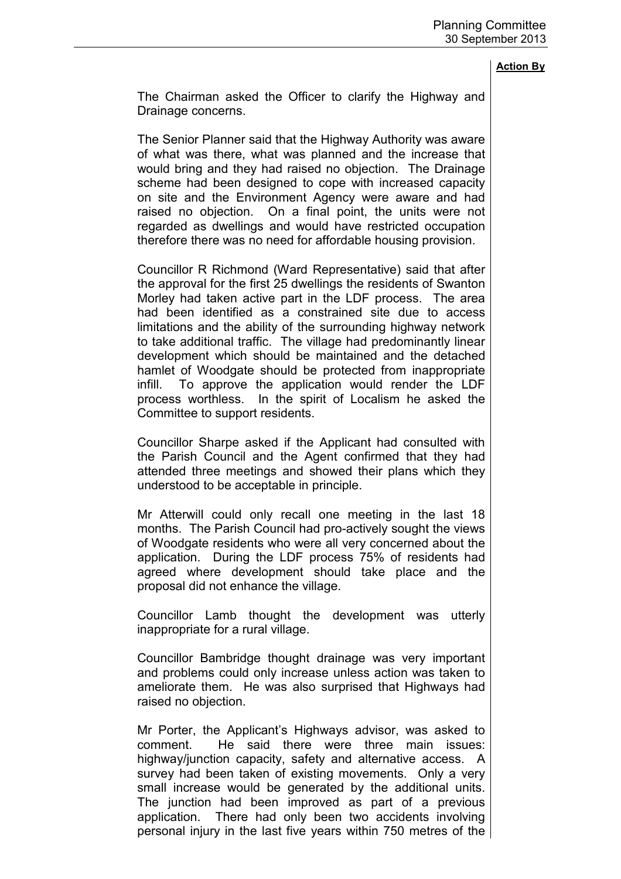The Chairman asked the Officer to clarify the Highway and Drainage concerns.

The Senior Planner said that the Highway Authority was aware of what was there, what was planned and the increase that would bring and they had raised no objection. The Drainage scheme had been designed to cope with increased capacity on site and the Environment Agency were aware and had raised no objection. On a final point, the units were not regarded as dwellings and would have restricted occupation therefore there was no need for affordable housing provision.

Councillor R Richmond (Ward Representative) said that after the approval for the first 25 dwellings the residents of Swanton Morley had taken active part in the LDF process. The area had been identified as a constrained site due to access limitations and the ability of the surrounding highway network to take additional traffic. The village had predominantly linear development which should be maintained and the detached hamlet of Woodgate should be protected from inappropriate infill. To approve the application would render the LDF process worthless. In the spirit of Localism he asked the Committee to support residents.

Councillor Sharpe asked if the Applicant had consulted with the Parish Council and the Agent confirmed that they had attended three meetings and showed their plans which they understood to be acceptable in principle.

Mr Atterwill could only recall one meeting in the last 18 months. The Parish Council had pro-actively sought the views of Woodgate residents who were all very concerned about the application. During the LDF process 75% of residents had agreed where development should take place and the proposal did not enhance the village.

Councillor Lamb thought the development was utterly inappropriate for a rural village.

Councillor Bambridge thought drainage was very important and problems could only increase unless action was taken to ameliorate them. He was also surprised that Highways had raised no objection.

Mr Porter, the Applicant's Highways advisor, was asked to comment. He said there were three main issues: highway/junction capacity, safety and alternative access. A survey had been taken of existing movements. Only a very small increase would be generated by the additional units. The junction had been improved as part of a previous application. There had only been two accidents involving personal injury in the last five years within 750 metres of the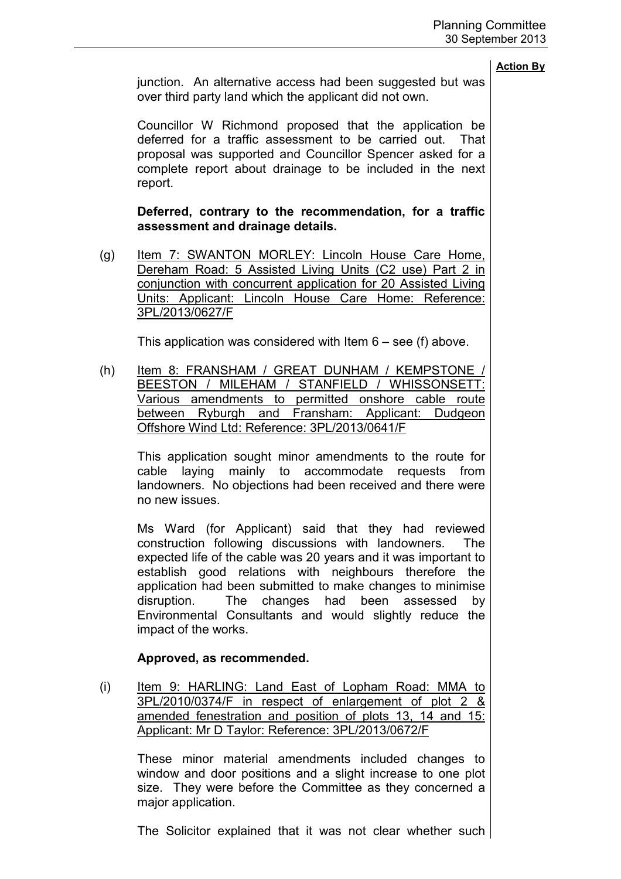junction. An alternative access had been suggested but was over third party land which the applicant did not own.

Councillor W Richmond proposed that the application be deferred for a traffic assessment to be carried out. That proposal was supported and Councillor Spencer asked for a complete report about drainage to be included in the next report.

# **Deferred, contrary to the recommendation, for a traffic assessment and drainage details.**

(g) Item 7: SWANTON MORLEY: Lincoln House Care Home, Dereham Road: 5 Assisted Living Units (C2 use) Part 2 in conjunction with concurrent application for 20 Assisted Living Units: Applicant: Lincoln House Care Home: Reference: 3PL/2013/0627/F

This application was considered with Item 6 – see (f) above.

(h) Item 8: FRANSHAM / GREAT DUNHAM / KEMPSTONE / BEESTON / MILEHAM / STANFIELD / WHISSONSETT: Various amendments to permitted onshore cable route between Ryburgh and Fransham: Applicant: Dudgeon Offshore Wind Ltd: Reference: 3PL/2013/0641/F

This application sought minor amendments to the route for cable laying mainly to accommodate requests from landowners. No objections had been received and there were no new issues.

Ms Ward (for Applicant) said that they had reviewed construction following discussions with landowners. The expected life of the cable was 20 years and it was important to establish good relations with neighbours therefore the application had been submitted to make changes to minimise disruption. The changes had been assessed by Environmental Consultants and would slightly reduce the impact of the works.

# **Approved, as recommended.**

(i) Item 9: HARLING: Land East of Lopham Road: MMA to 3PL/2010/0374/F in respect of enlargement of plot 2 & amended fenestration and position of plots 13, 14 and 15: Applicant: Mr D Taylor: Reference: 3PL/2013/0672/F

These minor material amendments included changes to window and door positions and a slight increase to one plot size. They were before the Committee as they concerned a major application.

The Solicitor explained that it was not clear whether such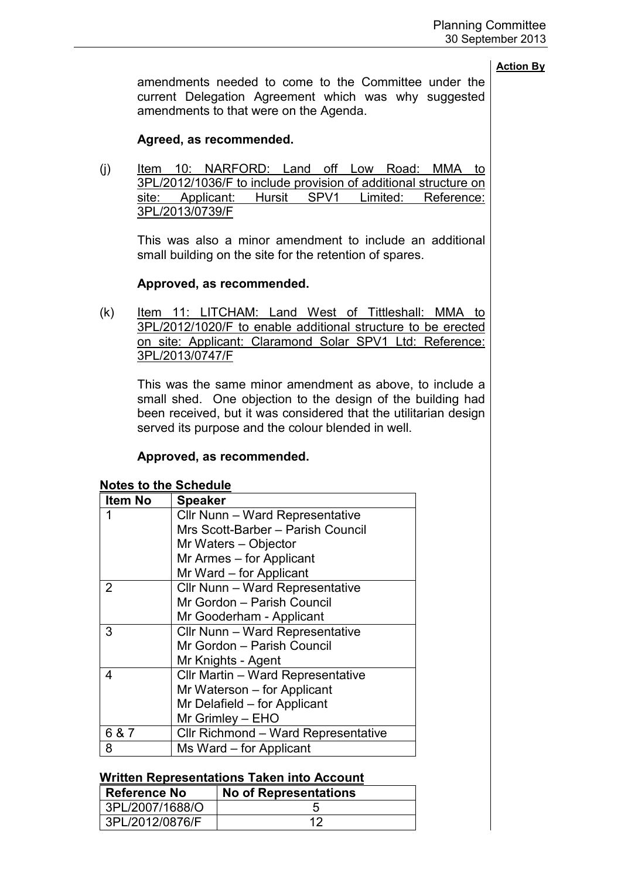amendments needed to come to the Committee under the current Delegation Agreement which was why suggested amendments to that were on the Agenda.

# **Agreed, as recommended.**

(j) Item 10: NARFORD: Land off Low Road: MMA to 3PL/2012/1036/F to include provision of additional structure on site: Applicant: Hursit SPV1 Limited: Reference: 3PL/2013/0739/F

This was also a minor amendment to include an additional small building on the site for the retention of spares.

# **Approved, as recommended.**

(k) Item 11: LITCHAM: Land West of Tittleshall: MMA to 3PL/2012/1020/F to enable additional structure to be erected on site: Applicant: Claramond Solar SPV1 Ltd: Reference: 3PL/2013/0747/F

This was the same minor amendment as above, to include a small shed. One objection to the design of the building had been received, but it was considered that the utilitarian design served its purpose and the colour blended in well.

## **Approved, as recommended.**

| Item No | <b>Speaker</b>                      |
|---------|-------------------------------------|
|         | Cllr Nunn - Ward Representative     |
|         | Mrs Scott-Barber - Parish Council   |
|         | Mr Waters - Objector                |
|         | Mr Armes – for Applicant            |
|         | Mr Ward – for Applicant             |
| 2       | Cllr Nunn - Ward Representative     |
|         | Mr Gordon - Parish Council          |
|         | Mr Gooderham - Applicant            |
| 3       | Cllr Nunn - Ward Representative     |
|         | Mr Gordon - Parish Council          |
|         | Mr Knights - Agent                  |
| 4       | Cllr Martin - Ward Representative   |
|         | Mr Waterson - for Applicant         |
|         | Mr Delafield – for Applicant        |
|         | $Mr$ Grimley $-$ EHO                |
| 6 & 7   | Cllr Richmond - Ward Representative |
| 8       | Ms Ward – for Applicant             |

## **Notes to the Schedule**

#### **Written Representations Taken into Account**

| <b>Reference No</b> | <b>No of Representations</b> |
|---------------------|------------------------------|
| 3PL/2007/1688/O     |                              |
| 3PL/2012/0876/F     | ィク                           |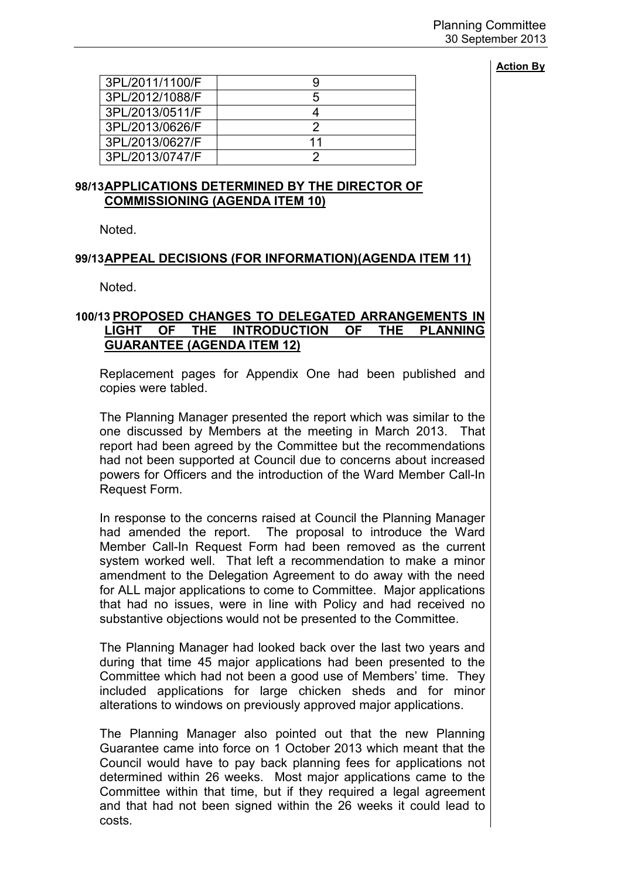| 3PL/2011/1100/F |    |
|-----------------|----|
| 3PL/2012/1088/F | 5  |
| 3PL/2013/0511/F |    |
| 3PL/2013/0626/F |    |
| 3PL/2013/0627/F | 11 |
| 3PL/2013/0747/F |    |

## **98/13 APPLICATIONS DETERMINED BY THE DIRECTOR OF COMMISSIONING (AGENDA ITEM 10)**

Noted.

## **99/13 APPEAL DECISIONS (FOR INFORMATION)(AGENDA ITEM 11)**

Noted.

# **100/13 PROPOSED CHANGES TO DELEGATED ARRANGEMENTS IN LIGHT OF THE INTRODUCTION OF THE PLANNING GUARANTEE (AGENDA ITEM 12)**

 Replacement pages for Appendix One had been published and copies were tabled.

The Planning Manager presented the report which was similar to the one discussed by Members at the meeting in March 2013. That report had been agreed by the Committee but the recommendations had not been supported at Council due to concerns about increased powers for Officers and the introduction of the Ward Member Call-In Request Form.

In response to the concerns raised at Council the Planning Manager had amended the report. The proposal to introduce the Ward Member Call-In Request Form had been removed as the current system worked well. That left a recommendation to make a minor amendment to the Delegation Agreement to do away with the need for ALL major applications to come to Committee. Major applications that had no issues, were in line with Policy and had received no substantive objections would not be presented to the Committee.

The Planning Manager had looked back over the last two years and during that time 45 major applications had been presented to the Committee which had not been a good use of Members' time. They included applications for large chicken sheds and for minor alterations to windows on previously approved major applications.

The Planning Manager also pointed out that the new Planning Guarantee came into force on 1 October 2013 which meant that the Council would have to pay back planning fees for applications not determined within 26 weeks. Most major applications came to the Committee within that time, but if they required a legal agreement and that had not been signed within the 26 weeks it could lead to costs.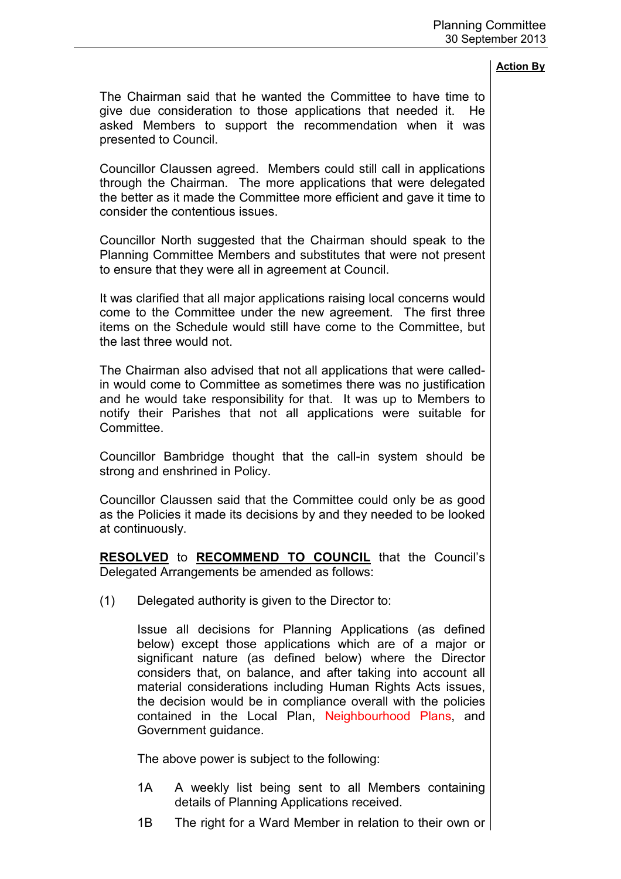The Chairman said that he wanted the Committee to have time to give due consideration to those applications that needed it. He asked Members to support the recommendation when it was presented to Council.

Councillor Claussen agreed. Members could still call in applications through the Chairman. The more applications that were delegated the better as it made the Committee more efficient and gave it time to consider the contentious issues.

Councillor North suggested that the Chairman should speak to the Planning Committee Members and substitutes that were not present to ensure that they were all in agreement at Council.

It was clarified that all major applications raising local concerns would come to the Committee under the new agreement. The first three items on the Schedule would still have come to the Committee, but the last three would not.

The Chairman also advised that not all applications that were calledin would come to Committee as sometimes there was no justification and he would take responsibility for that. It was up to Members to notify their Parishes that not all applications were suitable for Committee.

Councillor Bambridge thought that the call-in system should be strong and enshrined in Policy.

Councillor Claussen said that the Committee could only be as good as the Policies it made its decisions by and they needed to be looked at continuously.

**RESOLVED** to **RECOMMEND TO COUNCIL** that the Council's Delegated Arrangements be amended as follows:

(1) Delegated authority is given to the Director to:

Issue all decisions for Planning Applications (as defined below) except those applications which are of a major or significant nature (as defined below) where the Director considers that, on balance, and after taking into account all material considerations including Human Rights Acts issues, the decision would be in compliance overall with the policies contained in the Local Plan, Neighbourhood Plans, and Government guidance.

The above power is subject to the following:

- 1A A weekly list being sent to all Members containing details of Planning Applications received.
- 1B The right for a Ward Member in relation to their own or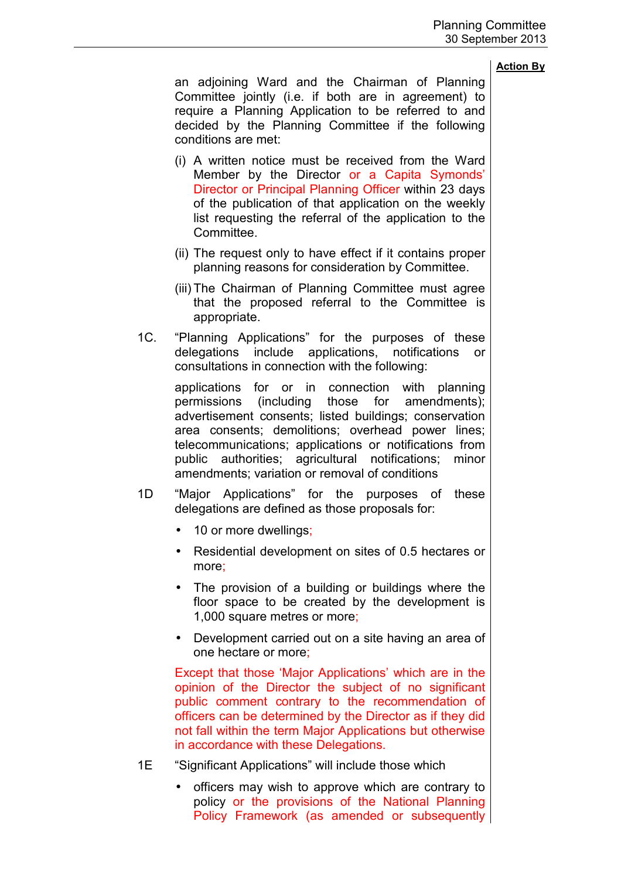an adjoining Ward and the Chairman of Planning Committee jointly (i.e. if both are in agreement) to require a Planning Application to be referred to and decided by the Planning Committee if the following conditions are met:

- (i) A written notice must be received from the Ward Member by the Director or a Capita Symonds' Director or Principal Planning Officer within 23 days of the publication of that application on the weekly list requesting the referral of the application to the Committee.
- (ii) The request only to have effect if it contains proper planning reasons for consideration by Committee.
- (iii) The Chairman of Planning Committee must agree that the proposed referral to the Committee is appropriate.
- 1C. "Planning Applications" for the purposes of these delegations include applications, notifications or consultations in connection with the following:

 applications for or in connection with planning permissions (including those for amendments); advertisement consents; listed buildings; conservation area consents; demolitions; overhead power lines; telecommunications; applications or notifications from public authorities; agricultural notifications; minor amendments; variation or removal of conditions

- 1D "Major Applications" for the purposes of these delegations are defined as those proposals for:
	- 10 or more dwellings;
	- Residential development on sites of 0.5 hectares or more;
	- The provision of a building or buildings where the floor space to be created by the development is 1,000 square metres or more;
	- Development carried out on a site having an area of one hectare or more;

 Except that those 'Major Applications' which are in the opinion of the Director the subject of no significant public comment contrary to the recommendation of officers can be determined by the Director as if they did not fall within the term Major Applications but otherwise in accordance with these Delegations.

- 1E "Significant Applications" will include those which
	- officers may wish to approve which are contrary to policy or the provisions of the National Planning Policy Framework (as amended or subsequently